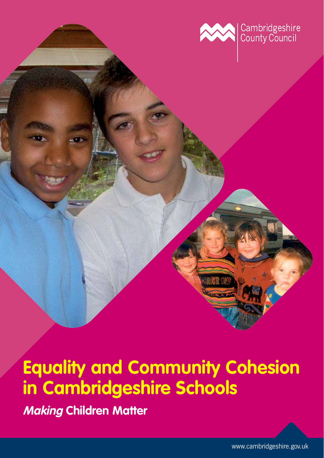

**Making Children Matter**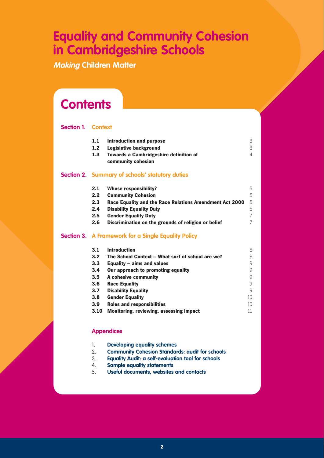**Making Children Matter**

## **Contents**

### **Section 1. Context**

| 1.1              | Introduction and purpose                                            | 3 |
|------------------|---------------------------------------------------------------------|---|
| 1.2 <sub>2</sub> | Legislative background                                              | 3 |
| 1.3              | <b>Towards a Cambridgeshire definition of</b><br>community cohesion | Δ |
|                  | Section 2. Summary of schools' statutory duties                     |   |

| 2.1     | <b>Whose responsibility?</b>                            | 5  |
|---------|---------------------------------------------------------|----|
| 2.2     | <b>Community Cohesion</b>                               | 5  |
| 2.3     | Race Equality and the Race Relations Amendment Act 2000 | -5 |
| 2.4     | <b>Disability Equality Duty</b>                         | 5  |
| $2.5\,$ | <b>Gender Equality Duty</b>                             |    |
| 2.6     | Discrimination on the grounds of religion or belief     |    |

### **Section 3. A Framework for a Single Equality Policy**

| 3.1  | <b>Introduction</b>                              | 8  |
|------|--------------------------------------------------|----|
| 3.2  | The School Context – What sort of school are we? | 8  |
| 3.3  | Equality – aims and values                       | 9  |
| 3.4  | Our approach to promoting equality               | 9  |
| 3.5  | A cohesive community                             | 9  |
| 3.6  | <b>Race Equality</b>                             | 9  |
| 3.7  | <b>Disability Equality</b>                       | 9  |
| 3.8  | <b>Gender Equality</b>                           | 10 |
| 3.9  | <b>Roles and responsibilities</b>                | 10 |
| 3.10 | Monitoring, reviewing, assessing impact          | 11 |

### **Appendices**

- 2. **Community Cohesion Standards: audit for schools**
- 3. **Equality Audit: a self-evaluation tool for schools**
- 4. **Sample equality statements**
- 5. **Useful documents, websites and contacts**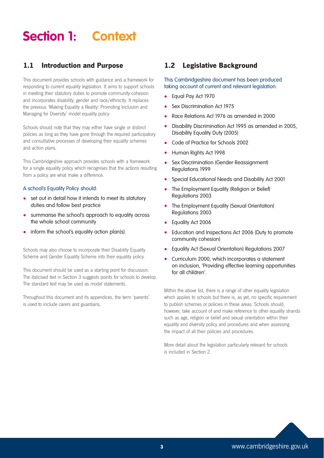## **Section 1: Context**

## **1.1 Introduction and Purpose**

This document provides schools with guidance and a framework for responding to current equality legislation. It aims to support schools in meeting their statutory duties to promote community cohesion and incorporates disability, gender and race/ethnicity. It replaces the previous 'Making Equality a Reality: Promoting Inclusion and Managing for Diversity' model equality policy.

Schools should note that they may either have single or distinct policies as long as they have gone through the required participatory and consultative processes of developing their equality schemes and action plans.

This Cambridgeshire approach provides schools with a framework for a single equality policy which recognises that the actions resulting from a policy are what make a difference.

#### A school's Equality Policy should:

- set out in detail how it intends to meet its statutory duties and follow best practice
- summarise the school's approach to equality across the whole school community
- inform the school's equality action plan(s).

Schools may also choose to incorporate their Disability Equality Scheme and Gender Equality Scheme into their equality policy.

This document should be used as a starting point for discussion. The italicised text in Section 3 suggests points for schools to develop. The standard text may be used as model statements.

Throughout this document and its appendices, the term 'parents' is used to include carers and guardians.

### **1.2 Legislative Background**

### This Cambridgeshire document has been produced taking account of current and relevant legislation:

- Equal Pay Act 1970
- Sex Discrimination Act 1975
- Race Relations Act 1976 as amended in 2000
- Disability Discrimination Act 1995 as amended in 2005, Disability Equality Duty (2005)
- Code of Practice for Schools 2002
- Human Rights Act 1998
- Sex Discrimination (Gender Reassignment) Regulations 1999
- Special Educational Needs and Disability Act 2001
- The Employment Equality (Religion or Belief) Regulations 2003
- The Employment Equality (Sexual Orientation) Regulations 2003
- Equality Act 2006
- Education and Inspections Act 2006 (Duty to promote community cohesion)
- Equality Act (Sexual Orientation) Regulations 2007
- Curriculum 2000, which incorporates a statement on inclusion, 'Providing effective learning opportunities for all children'.

Within the above list, there is a range of other equality legislation which applies to schools but there is, as yet, no specific requirement to publish schemes or policies in these areas. Schools should, however, take account of and make reference to other equality strands such as age, religion or belief and sexual orientation within their equality and diversity policy and procedures and when assessing the impact of all their policies and procedures.

More detail about the legislation particularly relevant for schools is included in Section 2.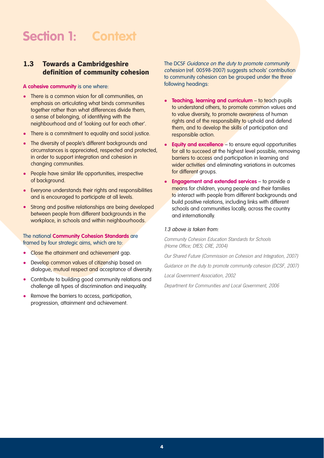## **Section 1: Context**

### **1.3 Towards a Cambridgeshire definition of community cohesion**

#### **A cohesive community** is one where:

- There is a common vision for all communities, an emphasis on articulating what binds communities together rather than what differences divide them, a sense of belonging, of identifying with the neighbourhood and of 'looking out for each other'.
- There is a commitment to equality and social justice.
- The diversity of people's different backgrounds and circumstances is appreciated, respected and protected, in order to support integration and cohesion in changing communities.
- People have similar life opportunities, irrespective of background.
- Everyone understands their rights and responsibilities and is encouraged to participate at all levels.
- Strong and positive relationships are being developed between people from different backgrounds in the workplace, in schools and within neighbourhoods.

The national **Community Cohesion Standards** are framed by four strategic aims, which are to:

- Close the attainment and achievement gap.
- Develop common values of citizenship based on dialogue, mutual respect and acceptance of diversity.
- Contribute to building good community relations and challenge all types of discrimination and inequality.
- Remove the barriers to access, participation, progression, attainment and achievement.

The DCSF Guidance on the duty to promote community cohesion (ref. 00598-2007) suggests schools' contribution to community cohesion can be grouped under the three following headings:

- **Teaching, learning and curriculum** to teach pupils to understand others, to promote common values and to value diversity, to promote awareness of human rights and of the responsibility to uphold and defend them, and to develop the skills of participation and responsible action.
- **Equity and excellence** to ensure equal opportunities for all to succeed at the highest level possible, removing barriers to access and participation in learning and wider activities and eliminating variations in outcomes for different groups.
- **Engagement and extended services** to provide a means for children, young people and their families to interact with people from different backgrounds and build positive relations, including links with different schools and communities locally, across the country and internationally.

#### 1.3 above is taken from:

Community Cohesion Education Standards for Schools (Home Office; DfES; CRE, 2004)

Our Shared Future (Commission on Cohesion and Integration, 2007)

Guidance on the duty to promote community cohesion (DCSF, 2007)

Local Government Association, 2002

Department for Communities and Local Government, 2006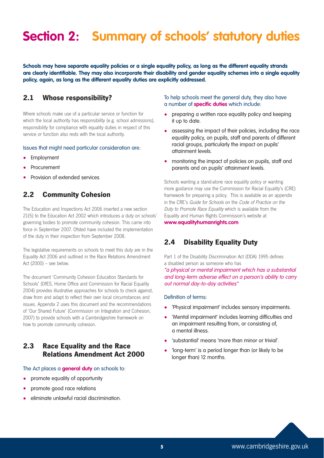## **Section 2: Summary of schools' statutory duties**

**Schools may have separate equality policies or a single equality policy, as long as the different equality strands are clearly identifiable. They may also incorporate their disability and gender equality schemes into a single equality policy, again, as long as the different equality duties are explicitly addressed.** 

### **2.1 Whose responsibility?**

Where schools make use of a particular service or function for which the local authority has responsibility (e.g. school admissions), responsibility for compliance with equality duties in respect of this service or function also rests with the local authority.

#### Issues that might need particular consideration are:

- Employment
- **Procurement**
- Provision of extended services

### **2.2 Community Cohesion**

The Education and Inspections Act 2006 inserted a new section 21(5) to the Education Act 2002 which introduces a duty on schools' governing bodies to promote community cohesion. This came into force in September 2007. Ofsted have included the implementation of the duty in their inspection from September 2008.

The legislative requirements on schools to meet this duty are in the Equality Act 2006 and outlined in the Race Relations Amendment Act (2000) – see below.

The document 'Community Cohesion Education Standards for Schools' (DfES, Home Office and Commission for Racial Equality 2004) provides illustrative approaches for schools to check against, draw from and adapt to reflect their own local circumstances and issues. Appendix 2 uses this document and the recommendations of 'Our Shared Future' (Commission on Integration and Cohesion, 2007) to provide schools with a Cambridgeshire framework on how to promote community cohesion.

## **2.3 Race Equality and the Race Relations Amendment Act 2000**

#### The Act places a **general duty** on schools to:

- promote equality of opportunity
- promote good race relations
- eliminate unlawful racial discrimination.

To help schools meet the general duty, they also have a number of **specific duties** which include:

- preparing a written race equality policy and keeping it up to date.
- assessing the impact of their policies, including the race equality policy, on pupils, staff and parents of different racial groups, particularly the impact on pupils' attainment levels.
- monitoring the impact of policies on pupils, staff and parents and on pupils' attainment levels.

Schools wanting a stand-alone race equality policy or wanting more guidance may use the Commission for Racial Equality's (CRE) framework for preparing a policy. This is available as an appendix in the CRE's Guide for Schools on the Code of Practice on the Duty to Promote Race Equality which is available from the Equality and Human Rights Commission's website at **www.equalityhumanrights.com**

### **2.4 Disability Equality Duty**

Part 1 of the Disability Discrimination Act (DDA) 1995 defines a disabled person as someone who has

"a physical or mental impairment which has a substantial and long-term adverse effect on a person's ability to carry out normal day-to-day activities"

#### Definition of terms:

- 'Physical impairment' includes sensory impairments.
- 'Mental impairment' includes learning difficulties and an impairment resulting from, or consisting of, a mental illness.
- 'substantial' means 'more than minor or trivial'.
- 'long-term' is a period longer than (or likely to be longer than) 12 months.

**<sup>5</sup>** www.cambridgeshire.gov.uk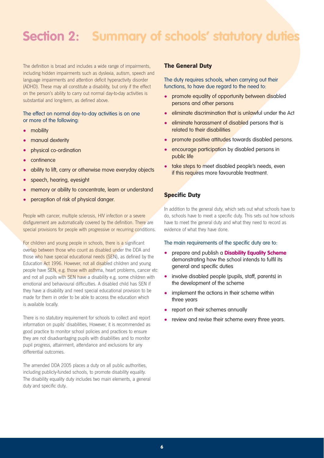## **Section 2: Summary of schools' statutory duties**

The definition is broad and includes a wide range of impairments, including hidden impairments such as dyslexia, autism, speech and language impairments and attention deficit hyperactivity disorder (ADHD). These may all constitute a disability, but only if the effect on the person's ability to carry out normal day-to-day activities is substantial and long-term, as defined above.

### The effect on normal day-to-day activities is on one or more of the following:

- mobility
- manual dexterity
- physical co-ordination
- continence
- ability to lift, carry or otherwise move everyday objects
- speech, hearing, eyesight
- memory or ability to concentrate, learn or understand
- perception of risk of physical danger.

People with cancer, multiple sclerosis, HIV infection or a severe disfigurement are automatically covered by the definition. There are special provisions for people with progressive or recurring conditions.

For children and young people in schools, there is a significant overlap between those who count as disabled under the DDA and those who have special educational needs (SEN), as defined by the Education Act 1996. However, not all disabled children and young people have SEN, e.g. those with asthma, heart problems, cancer etc and not all pupils with SEN have a disability e.g. some children with emotional and behavioural difficulties. A disabled child has SEN if they have a disability and need special educational provision to be made for them in order to be able to access the education which is available locally.

There is no statutory requirement for schools to collect and report information on pupils' disabilities, However, it is recommended as good practice to monitor school policies and practices to ensure they are not disadvantaging pupils with disabilities and to monitor pupil progress, attainment, attendance and exclusions for any differential outcomes.

The amended DDA 2005 places a duty on all public authorities, including publicly-funded schools, to promote disability equality. The disability equality duty includes two main elements, a general duty and specific duty.

### **The General Duty**

The duty requires schools, when carrying out their functions, to have due regard to the need to:

- promote equality of opportunity between disabled persons and other persons
- eliminate discrimination that is unlawful under the Act
- eliminate harassment of disabled persons that is related to their disabilities
- promote positive attitudes towards disabled persons.
- encourage participation by disabled persons in public life
- take steps to meet disabled people's needs, even if this requires more favourable treatment.

### **Specific Duty**

In addition to the general duty, which sets out what schools have to do, schools have to meet a specific duty. This sets out how schools have to meet the general duty and what they need to record as evidence of what they have done.

#### The main requirements of the specific duty are to:

- prepare and publish a **Disability Equality Scheme** demonstrating how the school intends to fulfil its general and specific duties
- involve disabled people (pupils, staff, parents) in the development of the scheme
- implement the actions in their scheme within three years
- report on their schemes annually
- review and revise their scheme every three years.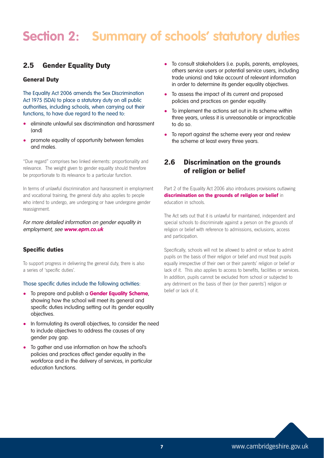## **Section 2: Summary of schools' statutory duties**

### **2.5 Gender Equality Duty**

### **General Duty**

The Equality Act 2006 amends the Sex Discrimination Act 1975 (SDA) to place a statutory duty on all public authorities, including schools, when carrying out their functions, to have due regard to the need to:

- eliminate unlawful sex discrimination and harassment (and)
- promote equality of opportunity between females and males.

"Due regard" comprises two linked elements: proportionality and relevance. The weight given to gender equality should therefore be proportionate to its relevance to a particular function.

In terms of unlawful discrimination and harassment in employment and vocational training, the general duty also applies to people who intend to undergo, are undergoing or have undergone gender reassignment.

For more detailed information on gender equality in employment, see **www.epm.co.uk**

### **Specific duties**

To support progress in delivering the general duty, there is also a series of 'specific duties'.

#### Those specific duties include the following activities:

- To prepare and publish a **Gender Equality Scheme**, showing how the school will meet its general and specific duties including setting out its gender equality objectives.
- In formulating its overall objectives, to consider the need to include objectives to address the causes of any gender pay gap.
- To gather and use information on how the school's policies and practices affect gender equality in the workforce and in the delivery of services, in particular education functions.
- To consult stakeholders (i.e. pupils, parents, employees, others service users or potential service users, including trade unions) and take account of relevant information in order to determine its gender equality objectives.
- To assess the impact of its current and proposed policies and practices on gender equality.
- To implement the actions set out in its scheme within three years, unless it is unreasonable or impracticable to do so.
- To report against the scheme every year and review the scheme at least every three years.

### **2.6 Discrimination on the grounds of religion or belief**

Part 2 of the Equality Act 2006 also introduces provisions outlawing **discrimination on the grounds of religion or belief** in education in schools.

The Act sets out that it is unlawful for maintained, independent and special schools to discriminate against a person on the grounds of religion or belief with reference to admissions, exclusions, access and participation.

Specifically, schools will not be allowed to admit or refuse to admit pupils on the basis of their religion or belief and must treat pupils equally irrespective of their own or their parents' religion or belief or lack of it. This also applies to access to benefits, facilities or services. In addition, pupils cannot be excluded from school or subjected to any detriment on the basis of their (or their parents') religion or belief or lack of it.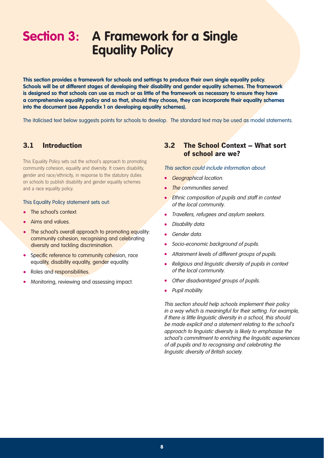**This section provides a framework for schools and settings to produce their own single equality policy. Schools will be at different stages of developing their disability and gender equality schemes. The framework is designed so that schools can use as much or as little of the framework as necessary to ensure they have a comprehensive equality policy and so that, should they choose, they can incorporate their equality schemes into the document (see Appendix 1 on developing equality schemes).** 

The italicised text below suggests points for schools to develop. The standard text may be used as model statements.

### **3.1 Introduction**

This Equality Policy sets out the school's approach to promoting community cohesion, equality and diversity. It covers disability, gender and race/ethnicity, in response to the statutory duties on schools to publish disability and gender equality schemes and a race equality policy.

#### This Equality Policy statement sets out:

- The school's context.
- Aims and values.
- The school's overall approach to promoting equality: community cohesion, recognising and celebrating diversity and tackling discrimination.
- Specific reference to community cohesion, race equality, disability equality, gender equality.
- Roles and responsibilities.
- Monitoring, reviewing and assessing impact.

### **3.2 The School Context – What sort of school are we?**

#### This section could include information about:

- Geographical location.
- The communities served.
- Ethnic composition of pupils and staff in context of the local community.
- Travellers, refugees and asylum seekers.
- Disability data.
- Gender data.
- Socio-economic background of pupils.
- Attainment levels of different groups of pupils.
- Religious and linguistic diversity of pupils in context of the local community.
- Other disadvantaged groups of pupils.
- Pupil mobility.

This section should help schools implement their policy in a way which is meaningful for their setting. For example, if there is little linguistic diversity in a school, this should be made explicit and a statement relating to the school's approach to linguistic diversity is likely to emphasise the school's commitment to enriching the linguistic experiences of all pupils and to recognising and celebrating the linguistic diversity of British society.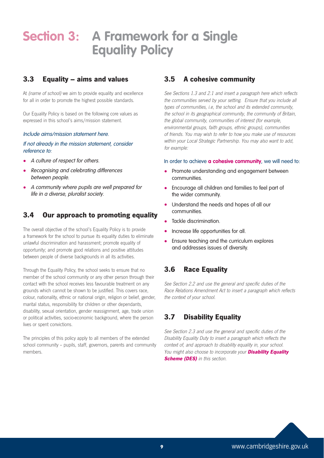## **3.3 Equality – aims and values**

At *(name of school)* we aim to provide equality and excellence for all in order to promote the highest possible standards.

Our Equality Policy is based on the following core values as expressed in this school's aims/mission statement.

#### Include aims/mission statement here.

#### If not already in the mission statement, consider reference to:

- A culture of respect for others.
- Recognising and celebrating differences between people.
- A community where pupils are well prepared for life in a diverse, pluralist society.

### **3.4 Our approach to promoting equality**

The overall objective of the school's Equality Policy is to provide a framework for the school to pursue its equality duties to eliminate unlawful discrimination and harassment; promote equality of opportunity; and promote good relations and positive attitudes between people of diverse backgrounds in all its activities.

Through the Equality Policy, the school seeks to ensure that no member of the school community or any other person through their contact with the school receives less favourable treatment on any grounds which cannot be shown to be justified. This covers race, colour, nationality, ethnic or national origin, religion or belief, gender, marital status, responsibility for children or other dependants, disability, sexual orientation, gender reassignment, age, trade union or political activities, socio-economic background, where the person lives or spent convictions.

The principles of this policy apply to all members of the extended school community – pupils, staff, governors, parents and community members.

## **3.5 A cohesive community**

See Sections 1.3 and 2.1 and insert a paragraph here which reflects the communities served by your setting. Ensure that you include all types of communities, i.e, the school and its extended community, the school in its geographical community, the community of Britain, the global community, communities of interest (for example, environmental groups, faith groups, ethnic groups), communities of friends. You may wish to refer to how you make use of resources within your Local Strategic Partnership. You may also want to add, for example:

#### In order to achieve **a cohesive community**, we will need to:

- Promote understanding and engagement between communities.
- Encourage all children and families to feel part of the wider community.
- Understand the needs and hopes of all our communities.
- Tackle discrimination.
- Increase life opportunities for all.
- Ensure teaching and the curriculum explores and addresses issues of diversity.

## **3.6 Race Equality**

See Section 2.2 and use the general and specific duties of the Race Relations Amendment Act to insert a paragraph which reflects the context of your school.

## **3.7 Disability Equality**

See Section 2.3 and use the general and specific duties of the Disability Equality Duty to insert a paragraph which reflects the context of, and approach to disability equality in, your school. You might also choose to incorporate your **Disability Equality Scheme (DES)** in this section.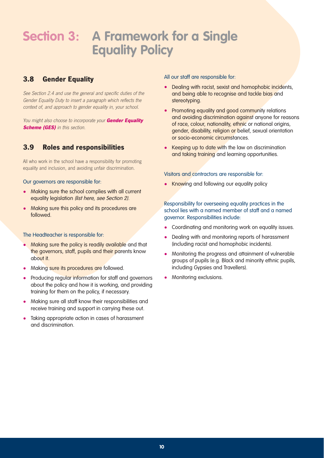## **3.8 Gender Equality**

See Section 2.4 and use the general and specific duties of the Gender Equality Duty to insert a paragraph which reflects the context of, and approach to gender equality in, your school.

You might also choose to incorporate your **Gender Equality Scheme (GES)** in this section.

## **3.9 Roles and responsibilities**

All who work in the school have a responsibility for promoting equality and inclusion, and avoiding unfair discrimination.

#### Our governors are responsible for:

- Making sure the school complies with all current equality legislation (list here, see Section 2).
- Making sure this policy and its procedures are followed.

### The Headteacher is responsible for:

- Making sure the policy is readily available and that the governors, staff, pupils and their parents know about it.
- Making sure its procedures are followed.
- Producing regular information for staff and governors about the policy and how it is working, and providing training for them on the policy, if necessary.
- Making sure all staff know their responsibilities and receive training and support in carrying these out.
- Taking appropriate action in cases of harassment and discrimination.

#### All our staff are responsible for:

- Dealing with racist, sexist and homophobic incidents, and being able to recognise and tackle bias and stereotyping.
- Promoting equality and good community relations and avoiding discrimination against anyone for reasons of race, colour, nationality, ethnic or national origins, gender, disability, religion or belief, sexual orientation or socio-economic circumstances.
- Keeping up to date with the law on discrimination and taking training and learning opportunities.

### Visitors and contractors are responsible for:

• Knowing and following our equality policy

### Responsibility for overseeing equality practices in the school lies with a named member of staff and a named governor. Responsibilities include:

- Coordinating and monitoring work on equality issues.
- Dealing with and monitoring reports of harassment (including racist and homophobic incidents).
- Monitoring the progress and attainment of vulnerable groups of pupils (e.g. Black and minority ethnic pupils, including Gypsies and Travellers).
- Monitoring exclusions.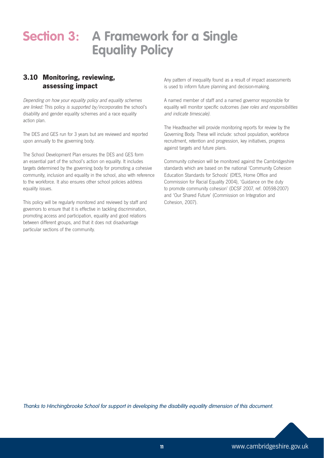## **3.10 Monitoring, reviewing, assessing impact**

Depending on how your equality policy and equality schemes are linked: This policy is supported by/incorporates the school's disability and gender equality schemes and a race equality action plan.

The DES and GES run for 3 years but are reviewed and reported upon annually to the governing body.

The School Development Plan ensures the DES and GES form an essential part of the school's action on equality. It includes targets determined by the governing body for promoting a cohesive community, inclusion and equality in the school, also with reference to the workforce. It also ensures other school policies address equality issues.

This policy will be regularly monitored and reviewed by staff and governors to ensure that it is effective in tackling discrimination, promoting access and participation, equality and good relations between different groups, and that it does not disadvantage particular sections of the community.

Any pattern of inequality found as a result of impact assessments is used to inform future planning and decision-making.

A named member of staff and a named governor responsible for equality will monitor specific outcomes (see roles and responsibilities and indicate timescale).

The Headteacher will provide monitoring reports for review by the Governing Body. These will include: school population, workforce recruitment, retention and progression, key initiatives, progress against targets and future plans.

Community cohesion will be monitored against the Cambridgeshire standards which are based on the national 'Community Cohesion Education Standards for Schools' (DfES, Home Office and Commission for Racial Equality 2004), 'Guidance on the duty to promote community cohesion' (DCSF 2007, ref. 00598-2007) and 'Our Shared Future' (Commission on Integration and Cohesion, 2007).

Thanks to Hinchingbrooke School for support in developing the disability equality dimension of this document.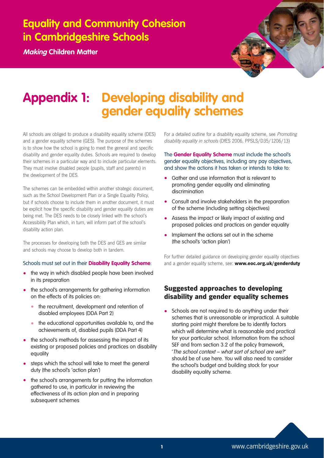**Making Children Matter**



## **Appendix 1: Developing disability and gender equality schemes**

All schools are obliged to produce a disability equality scheme (DES) and a gender equality scheme (GES). The purpose of the schemes is to show how the school is going to meet the general and specific disability and gender equality duties. Schools are required to develop their schemes in a particular way and to include particular elements. They must involve disabled people (pupils, staff and parents) in the development of the DES.

The schemes can be embedded within another strategic document, such as the School Development Plan or a Single Equality Policy, but if schools choose to include them in another document, it must be explicit how the specific disability and gender equality duties are being met. The DES needs to be closely linked with the school's Accessibility Plan which, in turn, will inform part of the school's disability action plan.

The processes for developing both the DES and GES are similar and schools may choose to develop both in tandem.

### Schools must set out in their **Disability Equality Scheme**:

- the way in which disabled people have been involved in its preparation
- the school's arrangements for gathering information on the effects of its policies on:
	- the recruitment, development and retention of disabled employees (DDA Part 2)
	- the educational opportunities available to, and the achievements of, disabled pupils (DDA Part 4)
- the school's methods for assessing the impact of its existing or proposed policies and practices on disability equality
- steps which the school will take to meet the general duty (the school's 'action plan')
- the school's arrangements for putting the information gathered to use, in particular in reviewing the effectiveness of its action plan and in preparing subsequent schemes

For a detailed outline for a disability equality scheme, see Promoting disability equality in schools (DfES 2006, PPSLS/D35/1206/13)

The **Gender Equality Scheme** must include the school's gender equality objectives, including any pay objectives, and show the actions it has taken or intends to take to:

- Gather and use information that is relevant to promoting gender equality and eliminating discrimination
- Consult and involve stakeholders in the preparation of the scheme (including setting objectives)
- Assess the impact or likely impact of existing and proposed policies and practices on gender equality
- Implement the actions set out in the scheme (the school's 'action plan')

For further detailed guidance on developing gender equality objectives and a gender equality scheme, see: **www.eoc.org.uk/genderduty**

### **Suggested approaches to developing disability and gender equality schemes**

Schools are not required to do anything under their schemes that is unreasonable or impractical. A suitable starting point might therefore be to identify factors which will determine what is reasonable and practical for your particular school. Information from the school SEF and from section 3.2 of the policy framework, 'The school context – what sort of school are we?' should be of use here. You will also need to consider the school's budget and building stock for your disability equality scheme.

**<sup>1</sup>** www.cambridgeshire.gov.uk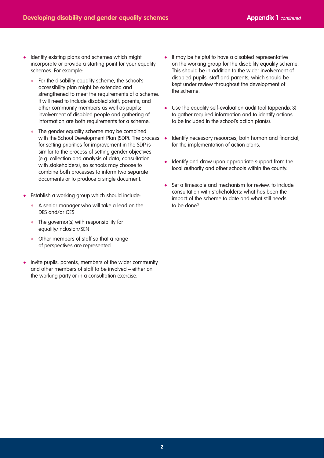- Identify existing plans and schemes which might incorporate or provide a starting point for your equality schemes. For example:
	- For the disability equality scheme, the school's accessibility plan might be extended and strengthened to meet the requirements of a scheme. It will need to include disabled staff, parents, and other community members as well as pupils; involvement of disabled people and gathering of information are both requirements for a scheme.
	- The gender equality scheme may be combined with the School Development Plan (SDP). The process for setting priorities for improvement in the SDP is similar to the process of setting gender objectives (e.g. collection and analysis of data, consultation with stakeholders), so schools may choose to combine both processes to inform two separate documents or to produce a single document.
- Establish a working group which should include:
	- A senior manager who will take a lead on the DES and/or GES
	- The governor(s) with responsibility for equality/inclusion/SEN
	- Other members of staff so that a range of perspectives are represented
- Invite pupils, parents, members of the wider community and other members of staff to be involved – either on the working party or in a consultation exercise.
- It may be helpful to have a disabled representative on the working group for the disability equality scheme. This should be in addition to the wider involvement of disabled pupils, staff and parents, which should be kept under review throughout the development of the scheme.
- Use the equality self-evaluation audit tool (appendix 3) to gather required information and to identify actions to be included in the school's action plan(s).
- Identify necessary resources, both human and financial, for the implementation of action plans.
- Identify and draw upon appropriate support from the local authority and other schools within the county.
- Set a timescale and mechanism for review, to include consultation with stakeholders: what has been the impact of the scheme to date and what still needs to be done?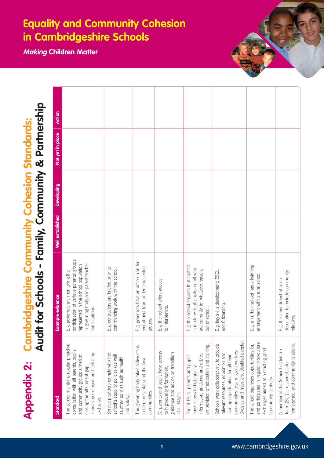**Making Children Matter**

**Appendix 2: Cambridgeshire Community Cohesion Standards:<br>Audit for Schools - Family, Community & Partnership** 

| Standard                                                                                                                                                                                                | ample evidence<br>函                                                                                                                                                             | Well established | <b>Developing</b> | Not yet in place | <b>Action</b> |
|---------------------------------------------------------------------------------------------------------------------------------------------------------------------------------------------------------|---------------------------------------------------------------------------------------------------------------------------------------------------------------------------------|------------------|-------------------|------------------|---------------|
| The school maintains regular proactive<br>consultation with all parents, pupils<br>increasing inclusion and reducing<br>and community groups aimed at<br>closing the attainment gap,<br>exclusion.      | participation of various parental groups<br>in governing body and parent-teacher<br>represented in the school population<br>E.g. governors are monitoring the<br>consultations. |                  |                   |                  |               |
| Service providers comply with the<br>school's equality policies (as well<br>as other policies such as health<br>and safety).                                                                            | E.g. contractors are briefed prior to<br>commencing work with the school.                                                                                                       |                  |                   |                  |               |
| The governing body takes active steps<br>to be representative of the local<br>communities.                                                                                                              | E.g. governors have an action plan for<br>recruitment from under-represented<br>groups.                                                                                         |                  |                   |                  |               |
| All parents and pupils have access<br>guidance and advice on transition<br>to high-quality information<br>at all stages.                                                                                | E.g. the school offers access<br>interpreters.<br>$\circ$                                                                                                                       |                  |                   |                  |               |
| on provision of education and training.<br>information, guidance and advice<br>For 14-19, all parents and pupils<br>have access to high-quality                                                         | E.g. the school ensures that contact<br>is made with all pupils on roll who<br>are currently, for whatever reason,<br>out of school.                                            |                  |                   |                  |               |
| Gypsies and Travellers, disabled people).<br>Schools work collaboratively to provide<br>communities (e.g. migrant workers,<br>relevant resources, education and<br>training opportunities for all their | E.g. key skills development; ESOL<br>and Citizenship.                                                                                                                           |                  |                   |                  |               |
| and participates in, regular inter-cultural<br>The school organises opportunities for,<br>exchanges aimed at promoting good<br>community relations.                                                     | E.g. an urban school has a twinning<br>arrangement with a rural school.                                                                                                         |                  |                   |                  |               |
| home-school and community relations.<br>A member of the Senior Leadership<br>Team (SLT) is responsible for                                                                                              | description to include community<br>E.g. the amendment of a job<br>relations.                                                                                                   |                  |                   |                  |               |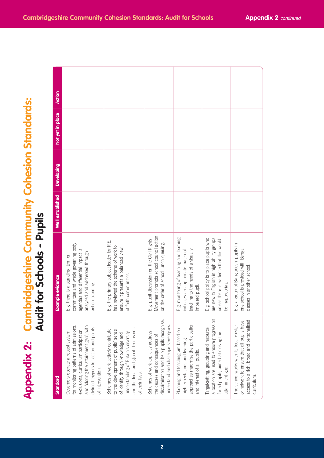|                                                                                 | <b>Action</b>           |                                                                                                                                                                                                                             |                                                                                                                                                                                                                   |                                                                                                                                                            |                                                                                                                                              |                                                                                                                                                         |                                                                                                                                                 |
|---------------------------------------------------------------------------------|-------------------------|-----------------------------------------------------------------------------------------------------------------------------------------------------------------------------------------------------------------------------|-------------------------------------------------------------------------------------------------------------------------------------------------------------------------------------------------------------------|------------------------------------------------------------------------------------------------------------------------------------------------------------|----------------------------------------------------------------------------------------------------------------------------------------------|---------------------------------------------------------------------------------------------------------------------------------------------------------|-------------------------------------------------------------------------------------------------------------------------------------------------|
|                                                                                 | Not yet in place        |                                                                                                                                                                                                                             |                                                                                                                                                                                                                   |                                                                                                                                                            |                                                                                                                                              |                                                                                                                                                         |                                                                                                                                                 |
|                                                                                 | <b>Developing</b>       |                                                                                                                                                                                                                             |                                                                                                                                                                                                                   |                                                                                                                                                            |                                                                                                                                              |                                                                                                                                                         |                                                                                                                                                 |
|                                                                                 | Well established        |                                                                                                                                                                                                                             |                                                                                                                                                                                                                   |                                                                                                                                                            |                                                                                                                                              |                                                                                                                                                         |                                                                                                                                                 |
| <b>Cambridgeshire Community Cohesion Standards:</b><br>lit for Schools - Pupils | <b>Example evidence</b> | committee and whole governing body<br>agendas and differential impact is<br>analysed and addressed through<br>E.g. there is a standing item on<br>action planning.                                                          | E.g. the primary subject leader for R.E.<br>has reviewed the scheme of work to<br>ensure it presents a balanced view<br>of faith communities.                                                                     | Movement prompts school council action<br>E.g. pupil discussion on the Civil Rights<br>on the order of school lunch queuing.                               | E.g. monitoring of teaching and learning<br>teaching to the needs of a visually<br>indicates an appropriate match of<br>impaired pupil.      | E.g. school policy is to place pupils who<br>are new to English in high ability groups<br>unless there is evidence that this would<br>be inappropriate. | E.g. a group of Bangladeshi pupils in<br>one school is provided with Bengali<br>classes in another school.                                      |
| DUA<br><b>Appendix 2:</b>                                                       | Standard                | for monitoring patterns of admissions,<br>and 'closing the attainment gap', with<br>defined triggers for action and points<br>exclusions, curriculum participation<br>Governors operate a robust system<br>of intervention. | and the local and global dimensions<br>Schemes of work actively contribute<br>to the development of pupils' sense<br>understanding of Britain's diversity<br>of identity through knowledge and<br>of their lives. | discrimination and help pupils recognise,<br>understand and challenge stereotypes.<br>Schemes of work explicitly address<br>the causes and consequences of | approaches maximise the participation<br>Planning and teaching are based on<br>nigh expectations and learning<br>and interest of all pupils. | allocation are used to ensure progression<br>Target-setting, grouping and resource<br>for all pupils, aimed at closing the<br>attainment gap.           | access to a rich, broad and personalised<br>or network to ensure that all pupils have<br>The school works with its local cluster<br>curriculum. |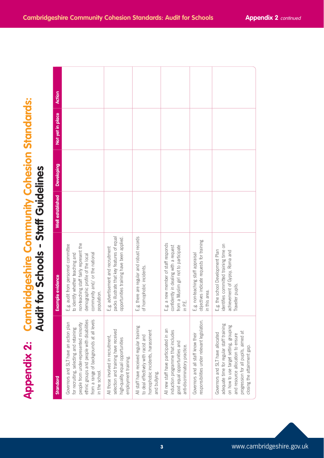|                                                                                             | Action                  |                                                                                                                                                                                                                                         |                                                                                                                                        |                                                                                                                                      |                                                                                                                                             |                                                                                                 |                                                                                                                                                                                                                                    |
|---------------------------------------------------------------------------------------------|-------------------------|-----------------------------------------------------------------------------------------------------------------------------------------------------------------------------------------------------------------------------------------|----------------------------------------------------------------------------------------------------------------------------------------|--------------------------------------------------------------------------------------------------------------------------------------|---------------------------------------------------------------------------------------------------------------------------------------------|-------------------------------------------------------------------------------------------------|------------------------------------------------------------------------------------------------------------------------------------------------------------------------------------------------------------------------------------|
|                                                                                             | Not yet in place        |                                                                                                                                                                                                                                         |                                                                                                                                        |                                                                                                                                      |                                                                                                                                             |                                                                                                 |                                                                                                                                                                                                                                    |
|                                                                                             | <b>Developing</b>       |                                                                                                                                                                                                                                         |                                                                                                                                        |                                                                                                                                      |                                                                                                                                             |                                                                                                 |                                                                                                                                                                                                                                    |
|                                                                                             | Well established        |                                                                                                                                                                                                                                         |                                                                                                                                        |                                                                                                                                      |                                                                                                                                             |                                                                                                 |                                                                                                                                                                                                                                    |
| <b>Cambridgeshire Community Cohesion Standards:</b><br>Audit for Schools - Staff Guidelines | <b>Example evidence</b> | non-teaching staff fairly represent the<br>E.g. audit from personnel committee<br>to identify whether teaching and<br>community and/ or the national<br>demographic profile of the local<br>population.                                 | packs illustrate that key features of equal<br>opportunities training have been applied<br>E.g. advertisement and recruitment          | E.g. there are regular and robust records<br>of homophobic incidents                                                                 | E.g. a new member of staff responds<br>confidently in dealing with a request<br>from a Muslim girl not to participate<br>in P.E.            | objectives indicate requests for training<br>E.g. non-teaching staff appraisal<br>in this area. | identifies committed training time on<br>E.g. the school Development Plan<br>achievement of Gypsy, Roma and<br>Traveller pupils.                                                                                                   |
| <b>Appendix 2:</b>                                                                          | <b>Standard</b>         | ethnic groups and people with disabilities<br>from a range of backgrounds at all levels<br>Governors and SLT have an action plan<br>people from under-represented minority<br>for recruiting, selecting and retaining<br>in the school. | selection and training have received<br>All those involved in recruitment,<br>high-quality equal opportunities<br>employment training. | All staff have received regular training<br>homophobic incidents, harassment<br>to deal effectively with racist and<br>and bullying. | All new staff have participated in an<br>induction programme that includes<br>good equal opportunities and<br>anti-discriminatory practice. | responsibilities under relevant legislation.<br>Governors and all staff know their              | adequate time for regular staff training<br>on how to use target setting, grouping<br>progression for all pupils, aimed at<br>Governors and SLT have allocated<br>and resource allocation to ensure<br>closing the attainment gap. |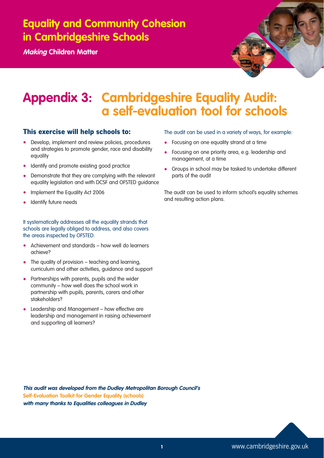**Making Children Matter**



## **Appendix 3: Cambridgeshire Equality Audit: a self-evaluation tool for schools**

### **This exercise will help schools to:**

- Develop, implement and review policies, procedures and strategies to promote gender, race and disability equality
- Identify and promote existing good practice
- Demonstrate that they are complying with the relevant equality legislation and with DCSF and OFSTED guidance
- Implement the Equality Act 2006
- Identify future needs

It systematically addresses all the equality strands that schools are legally obliged to address, and also covers the areas inspected by OFSTED:

- Achievement and standards how well do learners achieve?
- The quality of provision teaching and learning, curriculum and other activities, guidance and support
- Partnerships with parents, pupils and the wider community – how well does the school work in partnership with pupils, parents, carers and other stakeholders?
- Leadership and Management how effective are leadership and management in raising achievement and supporting all learners?

### The audit can be used in a variety of ways, for example:

- Focusing on one equality strand at a time
- Focusing on one priority area, e.g. leadership and management, at a time
- Groups in school may be tasked to undertake different parts of the audit

The audit can be used to inform school's equality schemes and resulting action plans.

**This audit was developed from the Dudley Metropolitan Borough Council's Self-Evaluation Toolkit for Gender Equality (schools) with many thanks to Equalities colleagues in Dudley**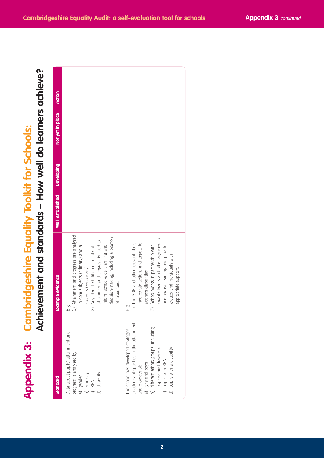| sipus |             |  |                                           |
|-------|-------------|--|-------------------------------------------|
|       | Achievement |  | t and standards – How well do learners ac |

| <b>Appendix 3:</b>                                                                                                                                                                                                                                                    | Achievement and standards - How well do learners achieve?<br><b>Cambridgeshire Equality Toolkit for Schools:</b>                                                                                                                                                                                               |                         |                   |                  |        |
|-----------------------------------------------------------------------------------------------------------------------------------------------------------------------------------------------------------------------------------------------------------------------|----------------------------------------------------------------------------------------------------------------------------------------------------------------------------------------------------------------------------------------------------------------------------------------------------------------|-------------------------|-------------------|------------------|--------|
| Standard                                                                                                                                                                                                                                                              | <b>Example evidence</b>                                                                                                                                                                                                                                                                                        | <b>Well established</b> | <b>Developing</b> | Not yet in place | Action |
| Data about pupils' attainment and<br>progress is analysed by:<br>d) disability<br>b) ethnicity<br>c) SEN<br>a) gender                                                                                                                                                 | Attainment and progress are analysed<br>decision-making, including allocation<br>attainment and progress is used to<br>in core subjects (primary) and all<br>inform school-wide planning and<br>Any identified differential rate of<br>subjects (secondary)<br>of resources.<br><br>니<br>그<br>$\widehat{\sim}$ |                         |                   |                  |        |
| to address disparities in the attainment<br>a) girls and boys<br>b) different ethnic groups, including<br>The school has developed strategies<br>Gypsies and Travellers<br>pupils with a disability<br>c) pupils with SEN<br>d) pupils with a dis<br>and progress of: | locality teams and other agencies to<br>1) The SDP and other relevant plans<br>incorporate actions and targets to<br>School works in partnership with<br>personalise learning and provide<br>groups and individuals with<br>appropriate support.<br>address disparities<br>مہ<br>نــا<br>$\widehat{\sim}$      |                         |                   |                  |        |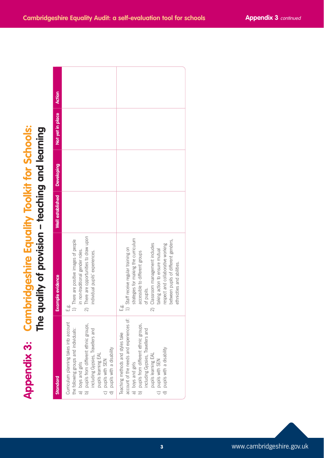|  | y ot provision – 1 | $\blacktriangledown$ | $\equiv$ |  |
|--|--------------------|----------------------|----------|--|

|                                                                                                                                                                                                                                                                  | <b>Appendix 3: Cambridgeshire Equality Toolkit for Schools:</b><br>The quality of provision – teaching and learning                                                                                                                                                                                                                    |                         |            |                  |               |
|------------------------------------------------------------------------------------------------------------------------------------------------------------------------------------------------------------------------------------------------------------------|----------------------------------------------------------------------------------------------------------------------------------------------------------------------------------------------------------------------------------------------------------------------------------------------------------------------------------------|-------------------------|------------|------------------|---------------|
| Standard                                                                                                                                                                                                                                                         | <b>Example evidence</b>                                                                                                                                                                                                                                                                                                                | <b>Well</b> established | Developing | Not yet in place | <b>Action</b> |
| Curriculum planning takes into account<br>b) pupils from different ethnic groups,<br>the following groups and individuals:<br>including Gypsies, Travellers and<br>d) pupils with a disability<br>pupils learning EAL<br>c) pupils with SEN<br>a) boys and girls | There are opportunities to draw upon<br>There are positive images of people<br>in non-traditional gender roles.<br>individual pupils' experiences.<br>ี<br>เมื่ ลา<br>$\widehat{\sim}$                                                                                                                                                 |                         |            |                  |               |
| account of the needs and experiences of:<br>b) pupils from different ethnic groups,<br>including Gypsies, Travellers and<br>Teaching methods and styles take<br>c) pupils with SEN<br>d) pupils with a disability<br>pupils learning EAL<br>a) boys and girls    | strategies for making the curriculum<br>between pupils of different genders,<br>Classroom management includes<br>respect and collaborative working<br>Staff receive regular training on<br>taking action to ensure mutual<br>accessible to different groups<br>ethnicities and abilities.<br>of pupils.<br>œ<br>نا<br>$\widehat{\sim}$ |                         |            |                  |               |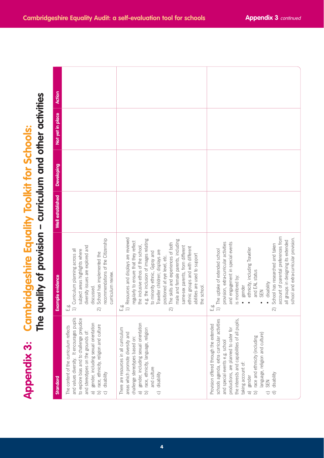| $\mathbf{x}$<br>pendi | $\frac{1}{2}$<br>$2 - 11 - 7$<br><b>SIMPLY</b><br>j.  |
|-----------------------|-------------------------------------------------------|
|                       | The auglity of provision – curriculum and other activ |

|                                                                                                               | <b>Action</b>                                                                                                                                                                                                                                                                                                                                        |                                                                                                                                                                                                                                                                                                                                                                                                                                                                               |                                                                                                                                                                                                                                                                                                                                                                                                                       |
|---------------------------------------------------------------------------------------------------------------|------------------------------------------------------------------------------------------------------------------------------------------------------------------------------------------------------------------------------------------------------------------------------------------------------------------------------------------------------|-------------------------------------------------------------------------------------------------------------------------------------------------------------------------------------------------------------------------------------------------------------------------------------------------------------------------------------------------------------------------------------------------------------------------------------------------------------------------------|-----------------------------------------------------------------------------------------------------------------------------------------------------------------------------------------------------------------------------------------------------------------------------------------------------------------------------------------------------------------------------------------------------------------------|
|                                                                                                               | Not yet in place                                                                                                                                                                                                                                                                                                                                     |                                                                                                                                                                                                                                                                                                                                                                                                                                                                               |                                                                                                                                                                                                                                                                                                                                                                                                                       |
|                                                                                                               | Developing                                                                                                                                                                                                                                                                                                                                           |                                                                                                                                                                                                                                                                                                                                                                                                                                                                               |                                                                                                                                                                                                                                                                                                                                                                                                                       |
|                                                                                                               | Well established                                                                                                                                                                                                                                                                                                                                     |                                                                                                                                                                                                                                                                                                                                                                                                                                                                               |                                                                                                                                                                                                                                                                                                                                                                                                                       |
| quality of provision – curriculum and other activities<br><b>Cambridgeshire Equality Toolkit for Schools:</b> | recommendations of the Citizenship<br>diversity issues are explored and<br>1) Curriculum planning across all<br>subject areas highlights where<br>School has implemented the<br>curriculum review.<br><b>Example evidence</b><br>discussed.<br>فه<br>نــا<br>ត                                                                                       | 1) Resources and displays are reviewed<br>e.g. the inclusion of images relating<br>male and female parents, including<br>regularly to ensure that they reflect<br>The skills and experiences of both<br>the inclusive ethos of the school,<br>same-sex parents, from different<br>ethnic groups and with different<br>Traveller children; displays are<br>to minority ethnic, Gypsy and<br>abilities are used to support<br>positioned at eye level, etc.<br>the school.<br>ត | account of parental preferences from<br>school and extra-curricular provision.<br>all groups in designing its extended<br>provision, extra-curricular activities<br>and engagement in special events<br>School has researched and taken<br>ethnicity, including Traveller<br>1) The uptake of extended school<br>and EAL status<br>is monitored by:<br>disability<br>gender<br><b>SEN</b><br>فه<br>نــا<br>ন          |
| <u>eq</u><br><b>Appendix 3:</b>                                                                               | and values diversity. It encourages pupils<br>to explore bias and to challenge prejudice<br>gender, including sexual orientation<br>race, ethnicity, religion and culture<br>The content of the curriculum reflects<br>and stereotypes on the grounds of:<br>disability<br>Standard<br>$\widehat{\sigma}$<br>$\widehat{\circ}$<br>$\boxed{\bigcirc}$ | gender, including sexual orientation<br>There are resources in all curriculum<br>race, ethnicity, language, religion<br>areas which promote diversity and<br>challenge stereotypes based on:<br>and culture<br>disability<br>$\widehat{\sigma}$<br>$\boxed{\bigcirc}$<br>$\widehat{\circ}$                                                                                                                                                                                    | the interests and capabilities of all pupils,<br>schools agenda, extra curricular activities<br>Provision offered through the extended<br>productions, are planned to cater for<br>language, religion and culture)<br>race and ethnicity (including<br>and special events e.g. school<br>taking account of:<br>disability<br>a) gender<br><b>N3S</b><br>$\widehat{\omega}$<br>$\widehat{\sigma}$<br>$\widehat{\circ}$ |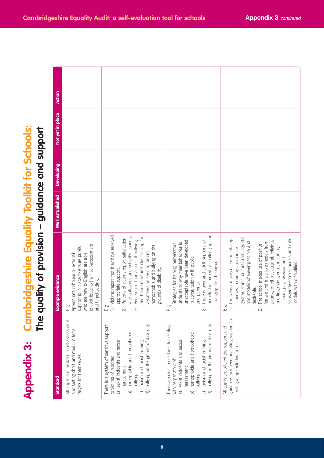| <b>Uidance and suppol</b><br>v ot provision – gi<br><b>Uec</b> |
|----------------------------------------------------------------|

|                                                                                                    | <b>Action</b>           |                                                                                                                                                                                         |                                                                                                                                                                                                                                                                                                                                                         |                                                                                                                                                                                                                                                                                                                                                |                                                                                                                                                                                                                                                                                                                                                                                                                                             |
|----------------------------------------------------------------------------------------------------|-------------------------|-----------------------------------------------------------------------------------------------------------------------------------------------------------------------------------------|---------------------------------------------------------------------------------------------------------------------------------------------------------------------------------------------------------------------------------------------------------------------------------------------------------------------------------------------------------|------------------------------------------------------------------------------------------------------------------------------------------------------------------------------------------------------------------------------------------------------------------------------------------------------------------------------------------------|---------------------------------------------------------------------------------------------------------------------------------------------------------------------------------------------------------------------------------------------------------------------------------------------------------------------------------------------------------------------------------------------------------------------------------------------|
|                                                                                                    | Not yet in place        |                                                                                                                                                                                         |                                                                                                                                                                                                                                                                                                                                                         |                                                                                                                                                                                                                                                                                                                                                |                                                                                                                                                                                                                                                                                                                                                                                                                                             |
|                                                                                                    | <b>Developing</b>       |                                                                                                                                                                                         |                                                                                                                                                                                                                                                                                                                                                         |                                                                                                                                                                                                                                                                                                                                                |                                                                                                                                                                                                                                                                                                                                                                                                                                             |
|                                                                                                    | Well established        |                                                                                                                                                                                         |                                                                                                                                                                                                                                                                                                                                                         |                                                                                                                                                                                                                                                                                                                                                |                                                                                                                                                                                                                                                                                                                                                                                                                                             |
| <b>Cambridgeshire Equality Toolkit for Schools:</b><br>quality of provision – guidance and support | <b>Example evidence</b> | to contribute to their self-assessment<br>support is in place to ensure pupils<br>who are new to English are able<br>Appropriate in-house or external<br>and target setting.<br>ia<br>∐ | with outcomes and school's response.<br>1) Victims report that they have received<br>and harassment includes training for<br>Parents of victims report satisfaction<br>Peer support for victims of bullying<br>homophobia and bullying on the<br>volunteers on sexism, racism,<br>grounds of disability.<br>appropriate support.<br>ەٰت<br>أ⊾<br>ন<br>ᢛ | perpetrators aimed at challenging and<br>There is peer and adult support for<br>unacceptable have been developed<br>understand why their behaviour is<br>Strategies for helping perpetrators<br>in consultation with pupils<br>changing their behaviour.<br>and parents.<br>$\overbrace{\phantom{aaaa}}$<br>ត                                  | gender, ethnic, cultural and linguistic<br>1) The school makes use of mentoring<br>transgendered role models and role<br>a range of ethnic, cultural, religious<br>role models wherever possible and<br>female and male role models from<br>The school makes use of positive<br>and linguistic groups, including<br>schemes, providing appropriate<br>esbian, gay, bisexual and<br>models with disabilities.<br>desirable.<br>ەن<br>ئى<br>Ñ |
| <u>pd</u><br><b>Appendix 3:</b>                                                                    | Standard                | All pupils are involved in self-assessment<br>and setting short and medium term<br>targets for themselves.                                                                              | There is a system of sensitive support<br>bullying on the ground of disability<br>homophobia and homophobic<br>sexist incidents and sexual<br>racism and racist bullying<br>to victims of reported:<br>harassment<br>bullying<br>$\widehat{\sigma}$<br>$\widehat{\sigma}$<br>$\widehat{\triangle}$<br>$\widehat{\circ}$                                 | There are clear procedures for dealing<br>bullying on the ground of disability<br>homophobia and homophobic<br>sexist incidents and sexual<br>racism and racist bullying<br>with perpetrators of:<br>harassment<br>bullying<br>$\widehat{\sigma}$<br>$\widehat{\triangle}$<br>$\widehat{\,\,\scriptscriptstyle\ominus\,}$<br>$\widehat{\circ}$ | guidance they need, including support for<br>All pupils are offered the support and<br>reintegrating excluded pupils.                                                                                                                                                                                                                                                                                                                       |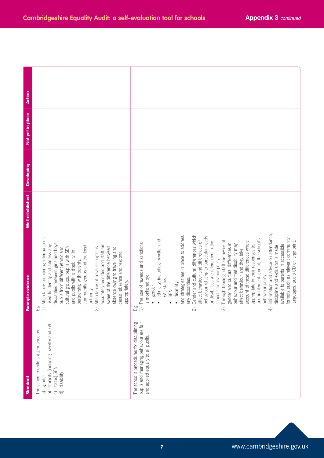| <b>Action</b>    |                                                                                                                                                                                                                                                                                                                                                                                                                                                                                                                                               |                                                                                                                                                                                                                                                                                                                                                                                                                                                                                                                                                                                                                                                                                                                                                                                                                                                                                                                                                                                                                        |
|------------------|-----------------------------------------------------------------------------------------------------------------------------------------------------------------------------------------------------------------------------------------------------------------------------------------------------------------------------------------------------------------------------------------------------------------------------------------------------------------------------------------------------------------------------------------------|------------------------------------------------------------------------------------------------------------------------------------------------------------------------------------------------------------------------------------------------------------------------------------------------------------------------------------------------------------------------------------------------------------------------------------------------------------------------------------------------------------------------------------------------------------------------------------------------------------------------------------------------------------------------------------------------------------------------------------------------------------------------------------------------------------------------------------------------------------------------------------------------------------------------------------------------------------------------------------------------------------------------|
| Not yet in place |                                                                                                                                                                                                                                                                                                                                                                                                                                                                                                                                               |                                                                                                                                                                                                                                                                                                                                                                                                                                                                                                                                                                                                                                                                                                                                                                                                                                                                                                                                                                                                                        |
| Developing       |                                                                                                                                                                                                                                                                                                                                                                                                                                                                                                                                               |                                                                                                                                                                                                                                                                                                                                                                                                                                                                                                                                                                                                                                                                                                                                                                                                                                                                                                                                                                                                                        |
| Well established |                                                                                                                                                                                                                                                                                                                                                                                                                                                                                                                                               |                                                                                                                                                                                                                                                                                                                                                                                                                                                                                                                                                                                                                                                                                                                                                                                                                                                                                                                                                                                                                        |
| Example evidence | 1) Attendance monitoring information is<br>disparities between girls and boys,<br>used to identify and address any<br>accurately recorded and staff are<br>community groups and the local<br>cultural groups, pupils with SEN<br>Attendance of Traveller pupils is<br>aware of the difference between<br>pupils from different ethnic and<br>absence owing to travelling and<br>and pupils with a disability, in<br>casual absence and respond<br>partnership with parents,<br>appropriately.<br>authority.<br>مہ<br>نــا<br>$\widehat{\sim}$ | Information and advice on attendance,<br>Gender and cultural differences which<br>and strategies are in place to address<br>behaviour relating to particular needs<br>formats such as relevant community<br>and implementation of, the school's<br>ethnicity, including Traveller and<br>Through training, staff are aware of<br>account of these differences where<br>affect behaviour and differences of<br>or disabilities are referenced in the<br>languages, audio CD or large print.<br>The use of rewards and sanctions<br>gender and cultural differences in<br>behaviour and that disability may<br>available to parents in accessible<br>appropriate in their responses to,<br>discipline and exclusion is made<br>affect behaviour and they take<br>school's behaviour policy.<br>behaviour policy.<br>is monitored by:<br>any disparities.<br>EAL status<br>disability<br>gender<br>SEN<br>$\bullet$<br>مہ<br>نــا<br>$\widehat{\hphantom{m}}$<br>$\overline{4}$<br>$\widehat{\sim}$<br>$\widehat{\infty}$ |
| <b>Standard</b>  | ethnicity (including Traveller and EAL<br>The school monitors attendance by:<br>status) SEN<br>disability<br>gender<br>$\widehat{\circ}$<br>$\widehat{\sigma}$<br>$\widehat{\mathbf{d}}$                                                                                                                                                                                                                                                                                                                                                      | The school's procedures for disciplining<br>pupils and managing behaviour are fair<br>and applied equally to all pupils.                                                                                                                                                                                                                                                                                                                                                                                                                                                                                                                                                                                                                                                                                                                                                                                                                                                                                               |

Τ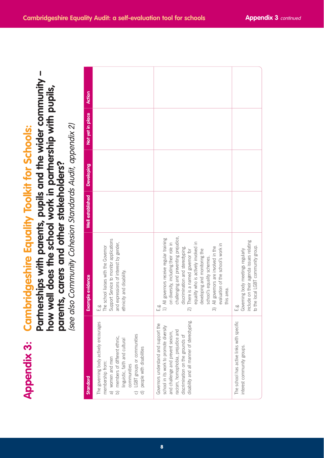| tnerships with parents, pupils and the wider community -                                                                                                                                                            | Action<br>Not yet in place<br><b>Developing</b> |                                                                                                                                                                                                                                                                             |                                                                                                                                                                                                                                                                                                                                                                                                                                           |                                                                                                                    |
|---------------------------------------------------------------------------------------------------------------------------------------------------------------------------------------------------------------------|-------------------------------------------------|-----------------------------------------------------------------------------------------------------------------------------------------------------------------------------------------------------------------------------------------------------------------------------|-------------------------------------------------------------------------------------------------------------------------------------------------------------------------------------------------------------------------------------------------------------------------------------------------------------------------------------------------------------------------------------------------------------------------------------------|--------------------------------------------------------------------------------------------------------------------|
|                                                                                                                                                                                                                     | <b>Well</b> established                         |                                                                                                                                                                                                                                                                             |                                                                                                                                                                                                                                                                                                                                                                                                                                           |                                                                                                                    |
| how well does the school work in partnership with pupils,<br>also Community Cohesion Standards Audit, appendix 2)<br><b>Cambridgeshire Equality Toolkit for Schools:</b><br>parents, carers and other stakeholders? | <b>Example evidence</b>                         | Support Service to monitor applications<br>and expressions of interest by gender,<br>The school liaises with the Governor<br>ethnicity and disability.                                                                                                                      | challenging and preventing prejudice,<br>1) All governors receive regular training<br>equality who is actively involved in<br>on diversity, including their role in<br>evaluation of the school's work in<br>All governors are involved in the<br>discrimination and stereotyping.<br>developing and monitoring the<br>There is a named governor for<br>school's equality schemes.<br>this area.<br>فہ<br>نسا<br>$\widehat{\infty}$<br>ରି | include on their agenda issues relating<br>to the local LGBT community group.<br>Governing body meetings regularly |
| (see<br><b>DOL</b><br><b>Appendix 3:</b>                                                                                                                                                                            | Standard                                        | The governing body actively encourages<br>LGBT groups or communities<br>members of different ethnic,<br>inguistic, faith and cultural<br>people with disabilities<br>a) women and men<br>membership from:<br>communities<br>$\boxed{0}$<br>$\bigcirc$<br>$\widehat{\sigma}$ | disability and all manner of stereotyping.<br>Governors understand and support the<br>school in its work to promote diversity<br>racism, homophobia, prejudice and<br>and challenge and prevent sexism<br>discrimination on the grounds of                                                                                                                                                                                                | The school has active links with specific<br>interest community groups.                                            |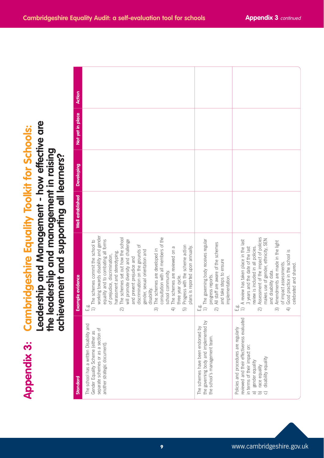| <b>Equa</b>    |                                |
|----------------|--------------------------------|
|                | ֖֖֚֚֚֚֚֚֚֚֚֚֡֬֝<br>֧֚֚֝<br>֧֚֝ |
|                |                                |
|                |                                |
|                |                                |
|                |                                |
| Cambridgeshire |                                |
|                |                                |
|                |                                |
|                |                                |
|                |                                |
|                |                                |
|                |                                |
|                |                                |
|                |                                |
|                |                                |
|                |                                |
| ppendix 3:     |                                |
|                |                                |
|                |                                |

|                                                                                                                                                                                    | Action            |                                                                                                                                                                                                                                                                                                                                                                                                                                                                                                                                                                                                                                                                               |                                                                                                                                                                                             |                                                                                                                                                                                                                                                                                                                                                                                                                                        |
|------------------------------------------------------------------------------------------------------------------------------------------------------------------------------------|-------------------|-------------------------------------------------------------------------------------------------------------------------------------------------------------------------------------------------------------------------------------------------------------------------------------------------------------------------------------------------------------------------------------------------------------------------------------------------------------------------------------------------------------------------------------------------------------------------------------------------------------------------------------------------------------------------------|---------------------------------------------------------------------------------------------------------------------------------------------------------------------------------------------|----------------------------------------------------------------------------------------------------------------------------------------------------------------------------------------------------------------------------------------------------------------------------------------------------------------------------------------------------------------------------------------------------------------------------------------|
|                                                                                                                                                                                    | Not yet in place  |                                                                                                                                                                                                                                                                                                                                                                                                                                                                                                                                                                                                                                                                               |                                                                                                                                                                                             |                                                                                                                                                                                                                                                                                                                                                                                                                                        |
|                                                                                                                                                                                    | <b>Developing</b> |                                                                                                                                                                                                                                                                                                                                                                                                                                                                                                                                                                                                                                                                               |                                                                                                                                                                                             |                                                                                                                                                                                                                                                                                                                                                                                                                                        |
|                                                                                                                                                                                    | Well established  |                                                                                                                                                                                                                                                                                                                                                                                                                                                                                                                                                                                                                                                                               |                                                                                                                                                                                             |                                                                                                                                                                                                                                                                                                                                                                                                                                        |
| dership and Management - how effective are<br><b>Cambridgeshire Equality Toolkit for Schools:</b><br>leadership and management in raising<br>ievement and supporting all learners? | Example evidence  | working towards disability and gender<br>consultation with all members of the<br>The schemes set out how the school<br>equality and to combating all forms<br>The schemes commit the school to<br>will promote diversity and challenge<br>discrimination on the grounds of<br>Progress with the scheme action<br>The schemes are reviewed on a<br>plans is reported upon annually.<br>The schemes are developed in<br>gender, sexual orientation and<br>harassment and stereotyping.<br>of prejudice, discrimination,<br>and prevent prejudice and<br>school community.<br>three year cycle.<br>disability.<br>فه<br>نــا<br>$\widehat{\sim}$<br>$\widehat{\infty}$<br>₹<br>5 | The governing body receives regular<br>All staff are aware of the schemes<br>and take steps to ensure<br>progress reports.<br>implementation.<br>فه<br>نــا<br>$\widehat{z}$<br>$\boxed{1}$ | Assessment of the impact of policies<br>makes use of gender, ethnicity, SEN<br>A review has taken place in the last<br>Amendments are made in the light<br>3 years and the date of the last<br>review is included in all policies.<br>Good practice in the school is<br>of impact assessments<br>celebrated and shared<br>and disability data.<br>فه<br>نــا<br>$\boxed{1}$<br>$\widehat{+}$<br>$\widehat{\sim}$<br>$\widehat{\infty}$ |
| ach<br><b>OOL</b><br>the<br><b>Appendix 3:</b>                                                                                                                                     | Standard          | The school has a written Disability and<br>separate schemes or as a section of<br>Gender Equality Scheme (either as<br>another strategic document)                                                                                                                                                                                                                                                                                                                                                                                                                                                                                                                            | the governing body and implemented by<br>The schemes have been endorsed by<br>the school's management team                                                                                  | reviewed and their effectiveness evaluated<br>Policies and procedures are regularly<br>in terms of their impact on:<br>disability equality<br>gender equality<br>race equality<br>$\widehat{\sigma}$<br>$\widehat{\vartriangle}$<br>$\widehat{\circ}$                                                                                                                                                                                  |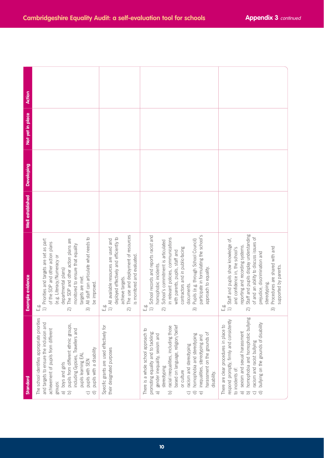| <b>Action</b>           |                                                                                                                                                                                                                                                                                                                                                                                     |                                                                                                                                                                                               |                                                                                                                                                                                                                                                                                                                                                                                                                                                                                        |                                                                                                                                                                                                                                                                                                                                                 |
|-------------------------|-------------------------------------------------------------------------------------------------------------------------------------------------------------------------------------------------------------------------------------------------------------------------------------------------------------------------------------------------------------------------------------|-----------------------------------------------------------------------------------------------------------------------------------------------------------------------------------------------|----------------------------------------------------------------------------------------------------------------------------------------------------------------------------------------------------------------------------------------------------------------------------------------------------------------------------------------------------------------------------------------------------------------------------------------------------------------------------------------|-------------------------------------------------------------------------------------------------------------------------------------------------------------------------------------------------------------------------------------------------------------------------------------------------------------------------------------------------|
| Not yet in place        |                                                                                                                                                                                                                                                                                                                                                                                     |                                                                                                                                                                                               |                                                                                                                                                                                                                                                                                                                                                                                                                                                                                        |                                                                                                                                                                                                                                                                                                                                                 |
| Developing              |                                                                                                                                                                                                                                                                                                                                                                                     |                                                                                                                                                                                               |                                                                                                                                                                                                                                                                                                                                                                                                                                                                                        |                                                                                                                                                                                                                                                                                                                                                 |
| <b>Well</b> established |                                                                                                                                                                                                                                                                                                                                                                                     |                                                                                                                                                                                               |                                                                                                                                                                                                                                                                                                                                                                                                                                                                                        |                                                                                                                                                                                                                                                                                                                                                 |
| <b>Example evidence</b> | All staff can articulate what needs to<br>The SDP and other action plans are<br>Priorities and targets are set as part<br>of the SDP and other action plans<br>monitored to ensure that equality<br>(e.g. Literacy/Numeracy or<br>departmental plans)<br>targets are met.<br>be improved.<br>فع<br>أسا<br>$\overline{=}$                                                            | The use and deployment of resources<br>deployed effectively and efficiently to<br>1) All available resources are used and<br>is monitored and evaluated.<br>achieve targets.<br>sò<br>∐<br>ରି | participate in formulating the school's<br>School records and reports racist and<br>in relevant policies, communications<br>Pupils (e.g. through School Council)<br>School's commitment is articulated<br>contractors and in public-facing<br>with parents, pupils, staff and<br>homophobic incidents.<br>approach to equality.<br>documents.<br>فه<br>نــا                                                                                                                            | Staff and pupils display understanding<br>of and an ability to discuss issues of<br>Staff and pupils show knowledge of,<br>reporting and recording systems.<br>Procedures are shared with and<br>and confidence in, the school's<br>prejudice, discrimination and<br>supported by parents<br>stereotyping.<br>فه<br>نــا                        |
| <b>Standard</b>         | The school identifies appropriate priorities<br>and targets to ensure the inclusion and<br>pupils from different ethnic groups,<br>achievement of pupils from different<br>including Gypsies, Travellers and<br>pupils with a disability<br>pupils learning EAL<br>pupils with SEN<br>a) boys and girls<br>groups:<br>$\boxed{\bigcirc}$<br>$\widehat{\sigma}$<br>$\widehat{\circ}$ | Specific grants are used effectively for<br>their designated purposes                                                                                                                         | based on language, religion/belief<br>racial inequalities, including those<br>There is a whole school approach to<br>promoting equality and to tackling:<br>harassment on the grounds of<br>homophobia and stereotyping<br>gender inequality, sexism and<br>inequalities, stereotyping and<br>racism and stereotyping<br>stereotyping<br>or culture<br>disability.<br>$\widehat{\sigma}$<br>$\widehat{\triangle}$<br>$\widehat{\,\,\sigma}$<br>$\widehat{\Theta}$<br>$\widehat{\circ}$ | homophobia and homophobic bullying<br>respond promptly, firmly and consistently<br>bullying on the grounds of disability<br>There are clear procedures in place to<br>sexism and sexual harassment<br>racism and racist bullying<br>to incidents of:<br>$\widehat{\sigma}$<br>$\widehat{\mathbf{D}}$<br>$\widehat{\circ}$<br>$\widehat{\sigma}$ |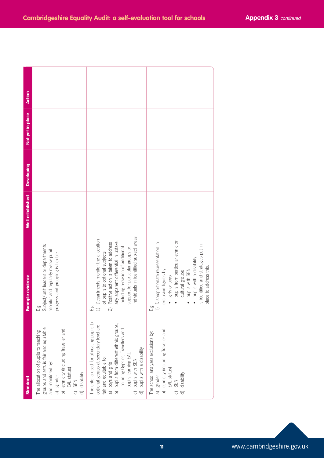| Standard                                                                                                                                                                                                                                                                                                                                                                | <b>Example evidence</b>                                                                                                                                                                                                                                                                        | Well established | <b>Developing</b> | Not yet in place | Action |
|-------------------------------------------------------------------------------------------------------------------------------------------------------------------------------------------------------------------------------------------------------------------------------------------------------------------------------------------------------------------------|------------------------------------------------------------------------------------------------------------------------------------------------------------------------------------------------------------------------------------------------------------------------------------------------|------------------|-------------------|------------------|--------|
| groups and sets is fair and equitable<br>b) ethnicity (including Traveller and<br>EAL status)<br>The allocation of pupils to teaching<br>and monitored by:<br>disability<br>a) gender<br><b>SEN</b><br>$\widehat{\sigma}$<br>$\widehat{\circ}$                                                                                                                          | E.g.<br>Subject/unit leaders or departments<br>monitor and regularly review pupil<br>progress and grouping is flexible.                                                                                                                                                                        |                  |                   |                  |        |
| The criteria used for allocating pupils to<br>pupils from different ethnic groups,<br>optional groups at secondary level are<br>ncluding Gypsies, Travellers and<br>pupils with a disability<br>pupils learning EAL<br>fair and equitable to:<br>pupils with SEN<br>a) boys and girls<br>$\overline{c}$<br>$\begin{bmatrix} 1 \\ 0 \end{bmatrix}$<br>$\widehat{\sigma}$ | individuals in identified subject areas.<br>Departments monitor the allocation<br>any apparent differential in uptake,<br>Positive action is taken to address<br>including provision of additional<br>support for particular groups or<br>of pupils to optional subjects.<br>öò<br>щ<br>$\sim$ |                  |                   |                  |        |
| a) gender<br>b) ethnicity (including Traveller and<br>EAL status)<br>The school analyses exclusions by:<br>d) disability<br><b>N</b> ES<br>$\overline{C}$                                                                                                                                                                                                               | pupils from particular ethnic or<br>Disproportionate representation in<br>is identified and strategies put in<br>pupils with a disability<br>place to address this.<br>exclusion figures by:<br>pupils with SEN<br>cultural groups<br>girls or boys<br>فه<br>نــا                              |                  |                   |                  |        |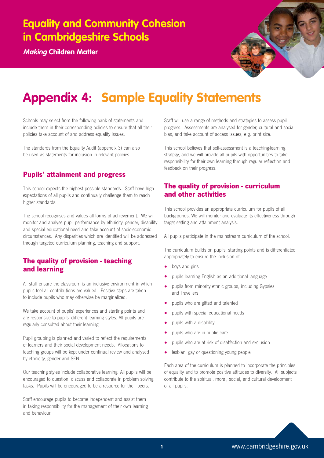**Making Children Matter**



## **Appendix 4: Sample Equality Statements**

Schools may select from the following bank of statements and include them in their corresponding policies to ensure that all their policies take account of and address equality issues.

The standards from the Equality Audit (appendix 3) can also be used as statements for inclusion in relevant policies.

## **Pupils' attainment and progress**

This school expects the highest possible standards. Staff have high expectations of all pupils and continually challenge them to reach higher standards.

The school recognises and values all forms of achievement. We will monitor and analyse pupil performance by ethnicity, gender, disability and special educational need and take account of socio-economic circumstances. Any disparities which are identified will be addressed through targeted curriculum planning, teaching and support.

## **The quality of provision - teaching and learning**

All staff ensure the classroom is an inclusive environment in which pupils feel all contributions are valued. Positive steps are taken to include pupils who may otherwise be marginalized.

We take account of pupils' experiences and starting points and are responsive to pupils' different learning styles. All pupils are regularly consulted about their learning.

Pupil grouping is planned and varied to reflect the requirements of learners and their social development needs. Allocations to teaching groups will be kept under continual review and analysed by ethnicity, gender and SEN.

Our teaching styles include collaborative learning. All pupils will be encouraged to question, discuss and collaborate in problem solving tasks. Pupils will be encouraged to be a resource for their peers.

Staff encourage pupils to become independent and assist them in taking responsibility for the management of their own learning and behaviour.

Staff will use a range of methods and strategies to assess pupil progress. Assessments are analysed for gender, cultural and social bias, and take account of access issues, e.g. print size.

This school believes that self-assessment is a teaching-learning strategy, and we will provide all pupils with opportunities to take responsibility for their own learning through regular reflection and feedback on their progress.

## **The quality of provision - curriculum and other activities**

This school provides an appropriate curriculum for pupils of all backgrounds. We will monitor and evaluate its effectiveness through target setting and attainment analysis.

All pupils participate in the mainstream curriculum of the school.

The curriculum builds on pupils' starting points and is differentiated appropriately to ensure the inclusion of:

- boys and girls
- pupils learning English as an additional language
- pupils from minority ethnic groups, including Gypsies and Travellers
- pupils who are gifted and talented
- pupils with special educational needs
- pupils with a disability
- pupils who are in public care
- pupils who are at risk of disaffection and exclusion
- lesbian, gay or questioning young people

Each area of the curriculum is planned to incorporate the principles of equality and to promote positive attitudes to diversity. All subjects contribute to the spiritual, moral, social, and cultural development of all pupils.

**<sup>1</sup>** www.cambridgeshire.gov.uk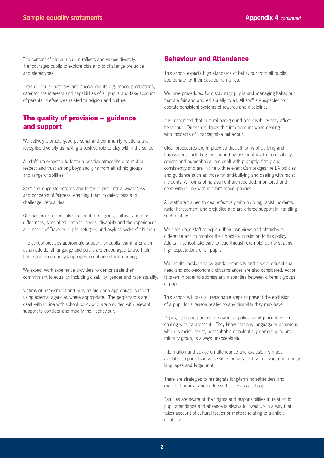The content of the curriculum reflects and values diversity. It encourages pupils to explore bias and to challenge prejudice and stereotypes.

Extra curricular activities and special events e.g. school productions, cater for the interests and capabilities of all pupils and take account of parental preferences related to religion and culture.

### **The quality of provision – guidance and support**

We actively promote good personal and community relations and recognise diversity as having a positive role to play within the school.

All staff are expected to foster a positive atmosphere of mutual respect and trust among boys and girls from all ethnic groups and range of abilities.

Staff challenge stereotypes and foster pupils' critical awareness and concepts of fairness, enabling them to detect bias and challenge inequalities.

Our pastoral support takes account of religious, cultural and ethnic differences, special educational needs, disability and the experiences and needs of Traveller pupils, refugees and asylum seekers' children.

The school provides appropriate support for pupils learning English as an additional language and pupils are encouraged to use their home and community languages to enhance their learning

We expect work experience providers to demonstrate their commitment to equality, including disability, gender and race equality.

Victims of harassment and bullying are given appropriate support using external agencies where appropriate. The perpetrators are dealt with in line with school policy and are provided with relevant support to consider and modify their behaviour.

### **Behaviour and Attendance**

This school expects high standards of behaviour from all pupils, appropriate for their developmental level.

We have procedures for disciplining pupils and managing behaviour that are fair and applied equally to all. All staff are expected to operate consistent systems of rewards and discipline.

It is recognised that cultural background and disability may affect behaviour. Our school takes this into account when dealing with incidents of unacceptable behaviour.

Clear procedures are in place so that all forms of bullying and harassment, including racism and harassment related to disability, sexism and homophobia, are dealt with promptly, firmly and consistently and are in line with relevant Cambridgeshire LA policies and guidance such as those for anti-bullying and dealing with racist incidents. All forms of harassment are recorded, monitored and dealt with in line with relevant school policies.

All staff are trained to deal effectively with bullying, racist incidents, racial harassment and prejudice and are offered support in handling such matters.

We encourage staff to explore their own views and attitudes to difference and to monitor their practice in relation to this policy. Adults in school take care to lead through example, demonstrating high expectations of all pupils.

We monitor exclusions by gender, ethnicity and special educational need and socio-economic circumstances are also considered. Action is taken in order to address any disparities between different groups of pupils.

This school will take all reasonable steps to prevent the exclusion of a pupil for a reason related to any disability they may have.

Pupils, staff and parents are aware of policies and procedures for dealing with harassment. They know that any language or behaviour, which is racist, sexist, homophobic or potentially damaging to any minority group, is always unacceptable.

Information and advice on attendance and exclusion is made available to parents in accessible formats such as relevant community languages and large print.

There are strategies to reintegrate long-term non-attenders and excluded pupils, which address the needs of all pupils.

Families are aware of their rights and responsibilities in relation to pupil attendance and absence is always followed up in a way that takes account of cultural issues or matters relating to a child's disability.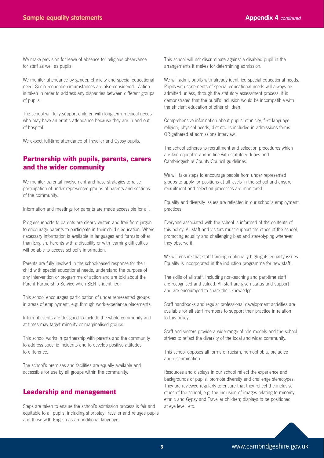We make provision for leave of absence for religious observance for staff as well as pupils.

We monitor attendance by gender, ethnicity and special educational need. Socio-economic circumstances are also considered. Action is taken in order to address any disparities between different groups of pupils.

The school will fully support children with long-term medical needs who may have an erratic attendance because they are in and out of hospital.

We expect full-time attendance of Traveller and Gypsy pupils.

### **Partnership with pupils, parents, carers and the wider community**

We monitor parental involvement and have strategies to raise participation of under represented groups of parents and sections of the community.

Information and meetings for parents are made accessible for all.

Progress reports to parents are clearly written and free from jargon to encourage parents to participate in their child's education. Where necessary information is available in languages and formats other than English. Parents with a disability or with learning difficulties will be able to access school's information.

Parents are fully involved in the school-based response for their child with special educational needs, understand the purpose of any intervention or programme of action and are told about the Parent Partnership Service when SEN is identified.

This school encourages participation of under represented groups in areas of employment. e.g: through work experience placements.

Informal events are designed to include the whole community and at times may target minority or marginalised groups.

This school works in partnership with parents and the community to address specific incidents and to develop positive attitudes to difference.

The school's premises and facilities are equally available and accessible for use by all groups within the community.

### **Leadership and management**

Steps are taken to ensure the school's admission process is fair and equitable to all pupils, including short-stay Traveller and refugee pupils and those with English as an additional language.

This school will not discriminate against a disabled pupil in the arrangements it makes for determining admission.

We will admit pupils with already identified special educational needs. Pupils with statements of special educational needs will always be admitted unless, through the statutory assessment process, it is demonstrated that the pupil's inclusion would be incompatible with the efficient education of other children.

Comprehensive information about pupils' ethnicity, first language, religion, physical needs, diet etc. is included in admissions forms OR gathered at admissions interview.

The school adheres to recruitment and selection procedures which are fair, equitable and in line with statutory duties and Cambridgeshire County Council guidelines.

We will take steps to encourage people from under represented groups to apply for positions at all levels in the school and ensure recruitment and selection processes are monitored.

Equality and diversity issues are reflected in our school's employment practices.

Everyone associated with the school is informed of the contents of this policy. All staff and visitors must support the ethos of the school, promoting equality and challenging bias and stereotyping wherever they observe it.

We will ensure that staff training continually highlights equality issues. Equality is incorporated in the induction programme for new staff.

The skills of all staff, including non-teaching and part-time staff are recognised and valued. All staff are given status and support and are encouraged to share their knowledge.

Staff handbooks and regular professional development activities are available for all staff members to support their practice in relation to this policy.

Staff and visitors provide a wide range of role models and the school strives to reflect the diversity of the local and wider community.

This school opposes all forms of racism, homophobia, prejudice and discrimination.

Resources and displays in our school reflect the experience and backgrounds of pupils, promote diversity and challenge stereotypes. They are reviewed regularly to ensure that they reflect the inclusive ethos of the school, e.g. the inclusion of images relating to minority ethnic and Gypsy and Traveller children; displays to be positioned at eye level, etc.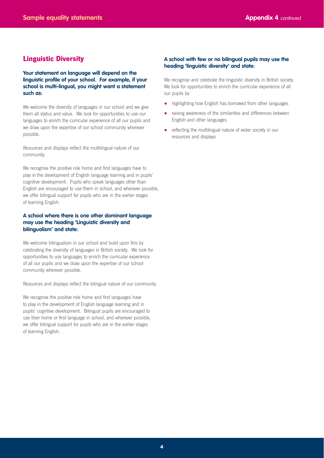### **Linguistic Diversity**

**Your statement on language will depend on the linguistic profile of your school. For example, if your school is multi-lingual, you might want a statement such as:**

We welcome the diversity of languages in our school and we give them all status and value. We look for opportunities to use our languages to enrich the curricular experience of all our pupils and we draw upon the expertise of our school community wherever possible.

Resources and displays reflect the multilingual nature of our community.

We recognise the positive role home and first languages have to play in the development of English language learning and in pupils' cognitive development. Pupils who speak languages other than English are encouraged to use them in school, and wherever possible, we offer bilingual support for pupils who are in the earlier stages of learning English.

#### **A school where there is one other dominant language may use the heading 'Linguistic diversity and bilingualism' and state:**

We welcome bilingualism in our school and build upon this by celebrating the diversity of languages in British society. We look for opportunities to use languages to enrich the curricular experience of all our pupils and we draw upon the expertise of our school community wherever possible.

Resources and displays reflect the bilingual nature of our community.

We recognise the positive role home and first languages have to play in the development of English language learning and in pupils' cognitive development. Bilingual pupils are encouraged to use their home or first language in school, and wherever possible, we offer bilingual support for pupils who are in the earlier stages of learning English.

#### **A school with few or no bilingual pupils may use the heading 'linguistic diversity' and state:**

We recognise and celebrate the linguistic diversity in British society. We look for opportunities to enrich the curricular experience of all our pupils by:

- highlighting how English has borrowed from other languages
- raising awareness of the similarities and differences between English and other languages
- reflecting the multilingual nature of wider society in our resources and displays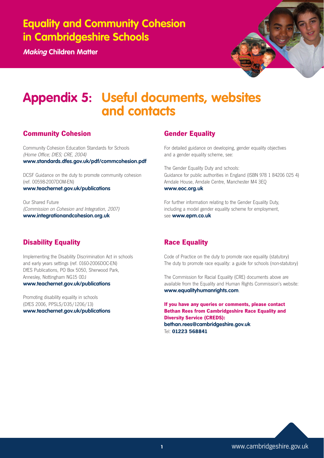**Making Children Matter**



## **Appendix 5: Useful documents, websites and contacts**

## **Community Cohesion**

Community Cohesion Education Standards for Schools (Home Office; DfES; CRE, 2004) **www.standards.dfes.gov.uk/pdf/commcohesion.pdf**

DCSF Guidance on the duty to promote community cohesion (ref. 00598-2007DOM-EN)

**www.teachernet.gov.uk/publications**

Our Shared Future (Commission on Cohesion and Integration, 2007) **www.integrationandcohesion.org.uk**

## **Gender Equality**

For detailed guidance on developing, gender equality objectives and a gender equality scheme, see:

The Gender Equality Duty and schools: Guidance for public authorities in England (ISBN 978 1 84206 025 4) Arndale House, Arndale Centre, Manchester M4 3EQ **www.eoc.org.uk**

For further information relating to the Gender Equality Duty, including a model gender equality scheme for employment, see **www.epm.co.uk**

## **Disability Equality**

Implementing the Disability Discrimination Act in schools and early years settings (ref. 0160-2006DOC-EN) DfES Publications, PO Box 5050, Sherwood Park, Annesley, Nottingham NG15 0DJ **www.teachernet.gov.uk/publications**

Promoting disability equality in schools (DfES 2006, PPSLS/D35/1206/13) **www.teachernet.gov.uk/publications**

## **Race Equality**

Code of Practice on the duty to promote race equality (statutory) The duty to promote race equality: a guide for schools (non-statutory)

The Commission for Racial Equality (CRE) documents above are available from the Equality and Human Rights Commission's website: **www.equalityhumanrights.com**.

**If you have any queries or comments, please contact Bethan Rees from Cambridgeshire Race Equality and Diversity Service (CREDS): bethan.rees@cambridgeshire.gov.uk** Tel: **01223 568841**